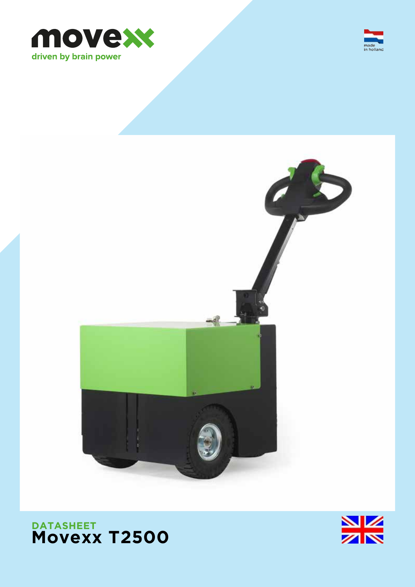





# **DATASHEET Movexx T2500**

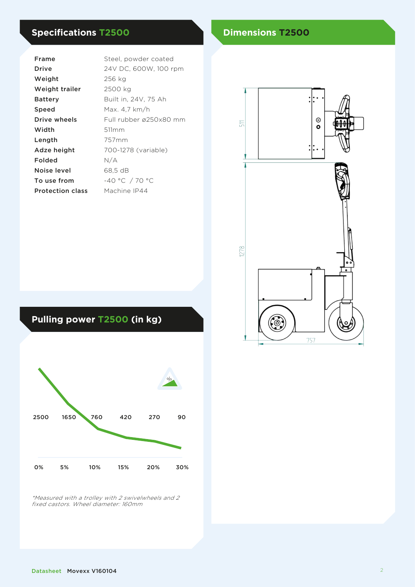# **Specifications T2500 Dimensions T2500**

| Frame                   | Steel, powder coated   |
|-------------------------|------------------------|
| Drive                   | 24V DC, 600W, 100 rpm  |
| Weight                  | 256 kg                 |
| Weight trailer          | 2500 kg                |
| Batterv                 | Built in, 24V, 75 Ah   |
| Speed                   | Max. 4.7 km/h          |
| Drive wheels            | Full rubber ø250x80 mm |
| Width                   | 511mm                  |
| Length                  | 757 <sub>mm</sub>      |
| Adze height             | 700-1278 (variable)    |
| Folded                  | N/A                    |
| Noise level             | 68,5 dB                |
| To use from             | -40 °C / 70 °C         |
| <b>Protection class</b> | Machine IP44           |
|                         |                        |



# **Pulling power T2500 (in kg)**



\*Measured with a trolley with 2 swivelwheels and 2 fixed castors. Wheel diameter: 160mm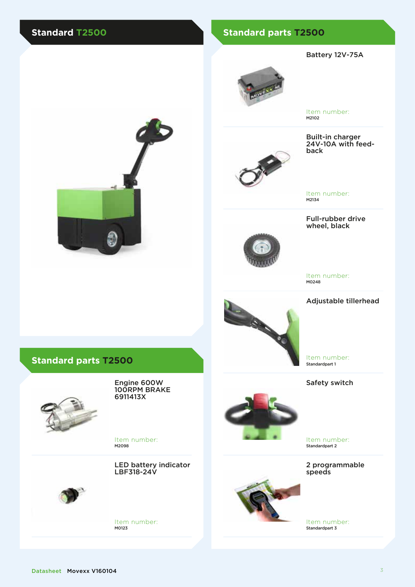### **Standard T2500 Standard parts T2500**

#### Battery 12V-75A



Item number: M2102





Item number: M2134

#### Full-rubber drive wheel, black



Item number: M0248





Item number: Standardpart 1

Safety switch



Item number: Standardpart 2

2 programmable speeds



Item number: Standardpart 3





### **Standard parts T2500**



Engine 600W 100RPM BRAKE 6911413X

Item number: M2098

LED battery indicator LBF318-24V



Item number: M0123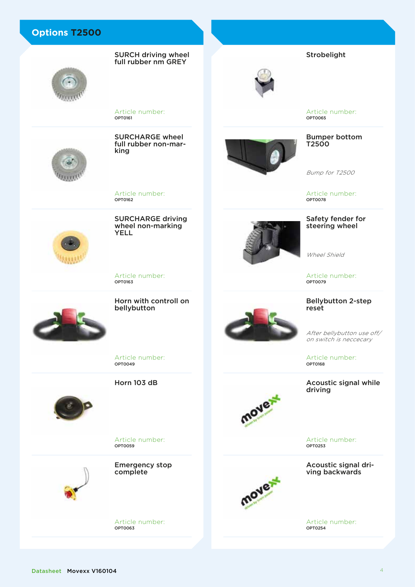SURCH driving wheel full rubber nm GREY



Article number: OPT0161



SURCHARGE wheel full rubber non-mar-<br>king

Article number: OPT0162

YELL

SURCHARGE driving wheel non-marking



Article number: OPT0163



Horn with controll on bellybutton



Article number: OPT0065

Strobelight

Bumper bottom T2500

Bump for T2500

Article number: OPT0078

#### Safety fender for steering wheel

Wheel Shield

Article number: OPT0079

Bellybutton 2-step reset

After bellybutton use off/ on switch is neccecary

Article number:<br> **OPT0168** 

Acoustic signal while driving

mover

Article number: OPT0253

Acoustic signal driving backwards



Article number: OPT0254

Article number: OPT0049

Horn 103 dB



Article number: OPT0059

Emergency stop complete

Article number: OPT0063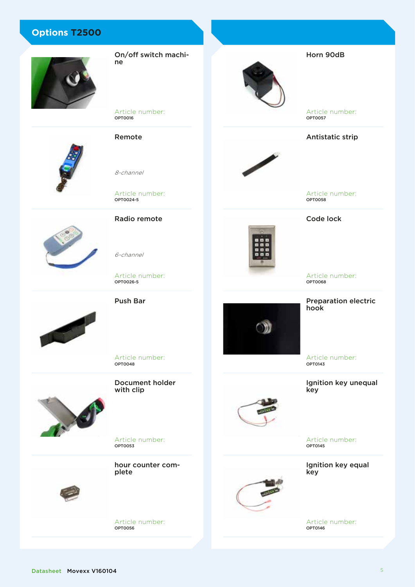

On/off switch machine

Article number: OPT0016

Remote

8-channel

Article number: OPT0024-5

Radio remote



Article number: OPT0026-5

Push Bar

6-channel



Article number: OPT0048

Document holder with clip

Article number:<br>**optooss** 

hour counter complete



Article number: OPT0056



Article number: OPT0057

Horn 90dB

Antistatic strip



Article number: OPT0058

### Code lock



Article number:<br> **OPT0068** 

Preparation electric hook

Article number: OPT0143

Ignition key unequal key



Article number: OPT0145

Ignition key equal key

Article number: OPT0146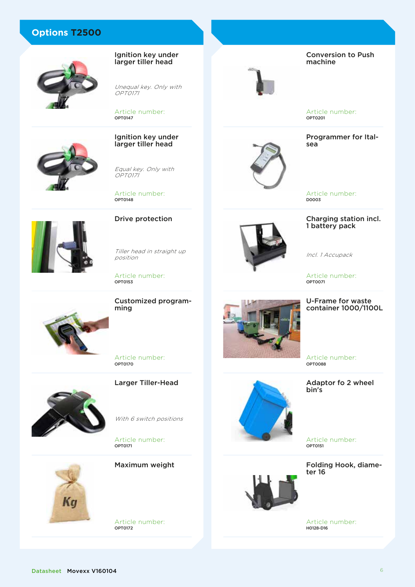





OPT0171

OPT0147

Unequal key. Only with

Ignition key under larger tiller head

#### Ignition key under larger tiller head

Equal key. Only with OPT0171

Article number: OPT0148



Drive protection

Tiller head in straight up position

Article number: OPT0153

Customized program-

Article number:

Larger Tiller-Head



With 6 switch positions

Article number: OPT0171





Article number: OPT0172

Conversion to Push machine



Article number: OPT0201

Programmer for Italsea

Article number: D0003

### Charging station incl. 1 battery pack

Incl. 1 Accupack

Article number: OPT0071

### U-Frame for waste container 1000/1100L

Article number: OPT0088

Adaptor fo 2 wheel bin's

Article number: OPT0151

Folding Hook, diameter 16



Article number: H0128-D16

ming

OPT0170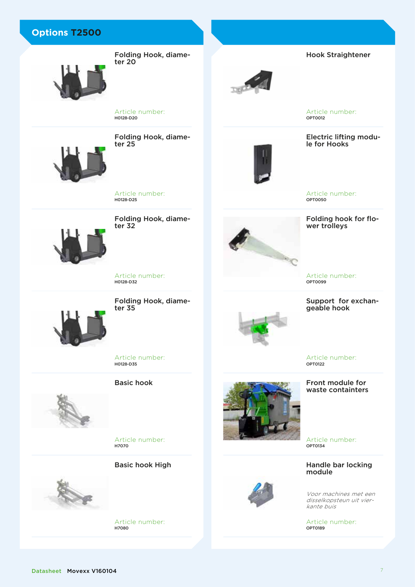

Folding Hook, diameter 20



Hook Straightener

Article number: OPT0012

Electric lifting module for Hooks



Article number: OPT0050

# Folding hook for flo-<br>wer trolleys

Article number: OPT0099

Support for exchangeable hook



Article number:

#### Front module for waste containters

Article number: OPT0134

Handle bar locking module

Voor machines met een disselkopsteun uit vierkante buis

Article number: OPT0189



Folding Hook, diameter 25

Article number:

H0128-D20

Article number: H0128-D25

Folding Hook, diame- ter 32



Article number:

H0128-D32

Folding Hook, diame-



ter 35

OPT0122



Article number: H7070

Article number:<br>**но128-р35** 

Basic hook

Basic hook High



Article number: H7080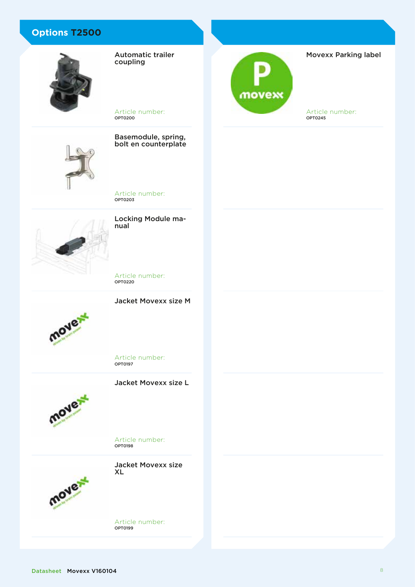

Automatic trailer coupling

Article number: OPT0200

Basemodule, spring, bolt en counterplate

Locking Module ma- nual

Article number:<br>**opto203** 

Article number:<br>**opto220** 

Jacket Movexx size M



Article number:<br>**орто197** 

Jacket Movexx size L



Article number:<br>**opto198** 



Article number: OPT0199



Movexx Parking label

Article number: OPT0245